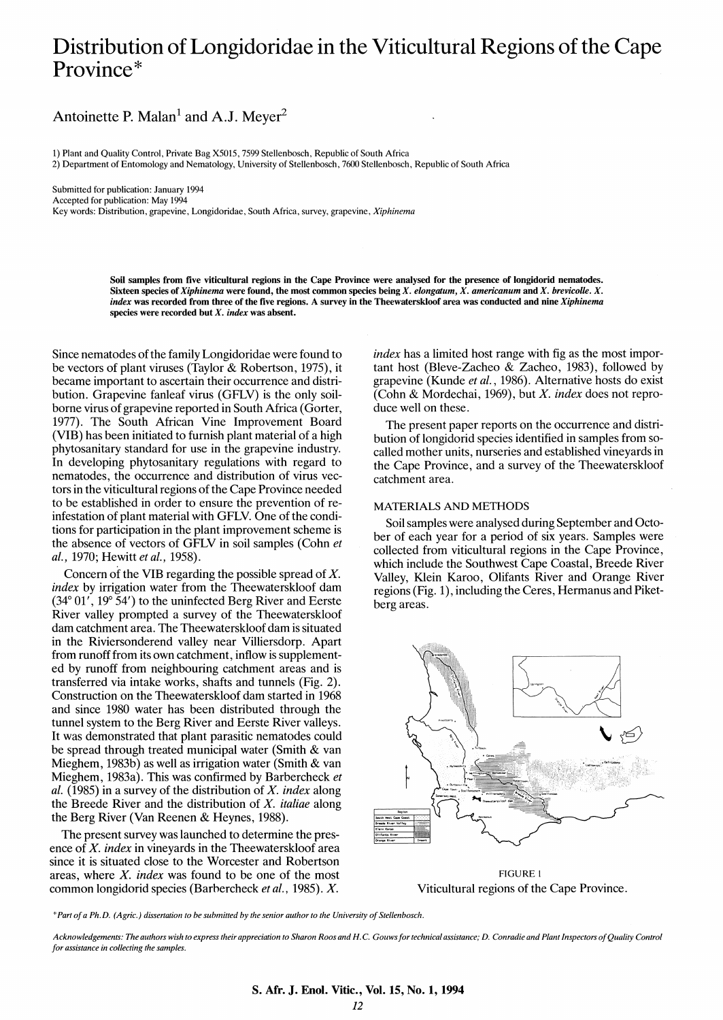# Distribution of Longidoridae in the Viticultural Regions of the Cape Province\*

Antoinette P. Malan<sup>1</sup> and A.J. Meyer<sup>2</sup>

1) Plant and Quality Control, Private Bag X5015, 7599 Stellenbosch, Republic of South Africa

2) Department of Entomology and Nematology, University of Stellenbosch, 7600 Stellenbosch, Republic of South Africa

Submitted for publication: January 1994 Accepted for publication: May 1994 Key words: Distribution, grapevine, Longidoridae, South Africa, survey, grapevine, *Xiphinema* 

> Soil samples from five viticultural regions in the Cape Province were analysed for the presence of longidorid nematodes. Sixteen species of *Xiphinema* were found, the most common species being *X. elongatum, X. americanum* and *X. brevicolle. X. index* was recorded from three of the five regions. A survey in the Theewaterskloof area was conducted and nine *Xiphinema* species were recorded but *X. index* was absent.

Since nematodes of the family Longidoridae were found to be vectors of plant viruses (Taylor & Robertson, 1975), it became important to ascertain their occurrence and distribution. Grapevine fanleaf virus (GFLV) is the only soilborne virus of grapevine reported in South Africa (Gorter, 1977). The South African Vine Improvement Board (VIB) has been initiated to furnish plant material of a high phytosanitary standard for use in the grapevine industry. In developing phytosanitary regulations with regard to nematodes, the occurrence and distribution of virus vectors in the viticultural regions of the Cape Province needed to be established in order to ensure the prevention of reinfestation of plant material with GFLV. One of the conditions for participation in the plant improvement scheme is the absence of vectors of GFLV in soil samples (Cohn *et al.,* 1970; Hewitt *et al.,* 1958).

Concern of the VIB regarding the possible spread of *X. index* by irrigation water from the Theewaterskloof dam (34° 01', 19° 54') to the uninfected Berg River and Eerste River valley prompted a survey of the Theewaterskloof dam catchment area. The Theewaterskloof dam is situated in the Riviersonderend valley near Villiersdorp. Apart from runoff from its own catchment, inflow is supplemented by runoff from neighbouring catchment areas and is transferred via intake works, shafts and tunnels (Fig. 2). Construction on the Theewaterskloof dam started in 1968 and since 1980 water has been distributed through the tunnel system to the Berg River and Eerste River valleys. It was demonstrated that plant parasitic nematodes could be spread through treated municipal water (Smith & van Mieghem, 1983b) as well as irrigation water (Smith & van Mieghem, 1983a). This was confirmed by Barbercheck *et al.* (1985) in a survey of the distribution of *X. index* along the Breede River and the distribution of *X. italiae* along the Berg River (Van Reenen & Heynes, 1988).

The present survey was launched to determine the presence of *X. index* in vineyards in the Theewaterskloof area since it is situated close to the Worcester and Robertson areas, where *X. index* was found to be one of the most common longidorid species (Barhercheck *et al.,* 1985). *X.* 

*index* has a limited host range with fig as the most important host (Bleve-Zacheo & Zacheo, 1983), followed by grapevine (Kunde *et al.,* 1986). Alternative hosts do exist (Cohn & Mordechai, 1969), but *X. index* does not reproduce well on these.

The present paper reports on the occurrence and distribution of longidorid species identified in samples from socalled mother units, nurseries and established vineyards in the Cape Province, and a survey of the Theewaterskloof catchment area.

#### MATERIALS AND METHODS

Soil samples were analysed during September and October of each year for a period of six years. Samples were collected from viticultural regions in the Cape Province, which include the Southwest Cape Coastal, Breede River Valley, Klein Karoo, Olifants River and Orange River regions (Fig. 1), including the Ceres, Hermanus and Piketberg areas.



FIGURE I Viticultural regions of the Cape Province.

*\*Part of a Ph.D. (Agric.) dissertation to be submitted by the senior author to the University of Stellenbosch.* 

Acknowledgements: The authors wish to express their appreciation to Sharon Roos and H.C. Gouws for technical assistance; D. Conradie and Plant Inspectors of Quality Control *for assistance in collecting the samples.*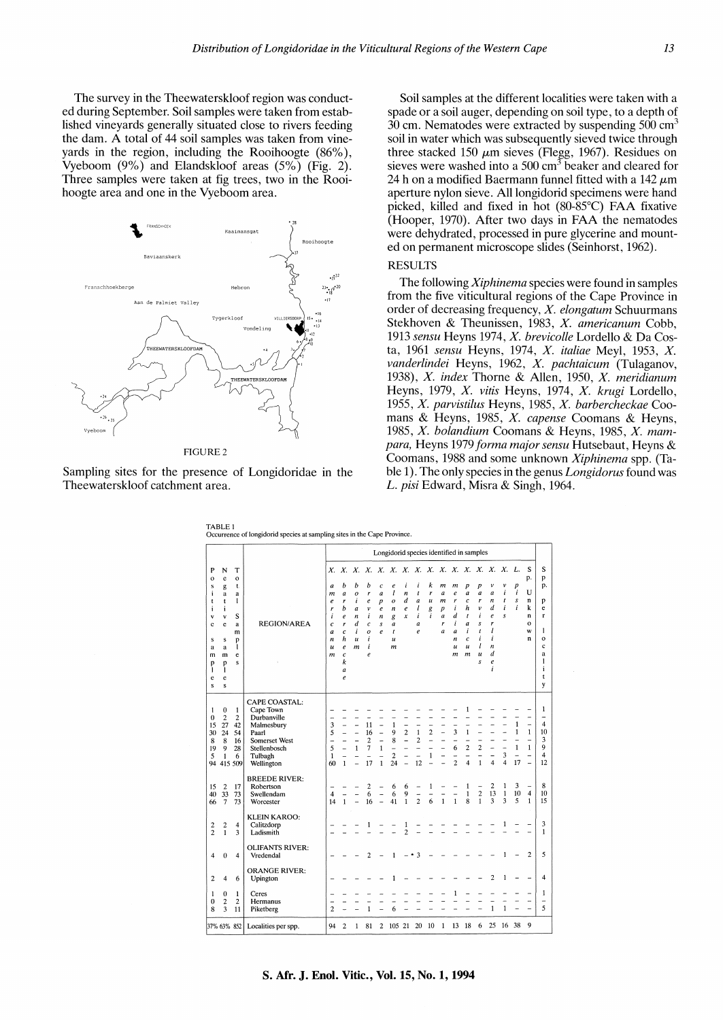The survey in the Theewaterskloof region was conducted during September. Soil samples were taken from established vineyards generally situated close to rivers feeding the dam. A total of 44 soil samples was taken from vineyards in the region, including the Rooihoogte (86% ), Vyeboom (9%) and Elandskloof areas (5%) (Fig. 2). Three samples were taken at fig trees, two in the Rooihoogte area and one in the Vyeboom area.



FIGURE2

Sampling sites for the presence of Longidoridae in the Theewaterskloof catchment area.

Soil samples at the different localities were taken with a spade or a soil auger, depending on soil type, to a depth of 30 cm. Nematodes were extracted by suspending  $500 \text{ cm}^3$ soil in water which was subsequently sieved twice through three stacked 150  $\mu$ m sieves (Flegg, 1967). Residues on sieves were washed into a  $500 \text{ cm}^3$  beaker and cleared for 24 h on a modified Baermann funnel fitted with a 142  $\mu$ m aperture nylon sieve. All longidorid specimens were hand picked, killed and fixed in hot (80-85°C) FAA fixative (Hooper, 1970). After two days in FAA the nematodes were dehydrated, processed in pure glycerine and mounted on permanent microscope slides (Seinhorst, 1962).

## RESULTS

The following *Xiphinema* species were found in samples from the five viticultural regions of the Cape Province in order of decreasing frequency, *X. elongatum* Schuurmans Stekhoven & Theunissen, 1983, *X. americanum* Cobb, 1913 *sensu* Heyns 1974, *X. brevicolle* Lordello & Da Costa, 1961 *sensu* Heyns, 1974, X. *italiae* Meyl, 1953, X. *vanderlindei* Heyns, 1962, *X. pachtaicum* (Tulaganov, 1938), X. *index* Thorne & Allen, 1950, X. *meridianum*  Heyns, 1979, X. *vitis* Heyns, 1974, X. *krugi* Lordello, 1955, X. *parvistilus* Heyns, 1985, X. *barbercheckae* Coomans & Heyns, 1985, X. *capense* Coomans & Heyns, 1985, X. *bolandium* Coomans & Heyns, 1985, X. *mampara,* Heyns 1979 *forma major sensu* Hutsebaut, Heyns & Coomans, 1988 and some unknown *Xiphinema* spp. (Table 1). The only species in the genus *Longidorus* found was *L. pisi* Edward, Misra & Singh, 1964.

|                                                                                    |                                                                         |                                                                      |                                                                                                                                   | Longidorid species identified in samples                                                                 |                                                                                                                                       |                                                                                                       |                                                                                                  |                                                                                           |                                                                                              |                                                                                          |                                                |                                      |                                                               |                                                                                             |                                                                                                                     |                                                                                                                     |                                                                                                       |                                       |                                                                     |                                                                                      |                                                                                |
|------------------------------------------------------------------------------------|-------------------------------------------------------------------------|----------------------------------------------------------------------|-----------------------------------------------------------------------------------------------------------------------------------|----------------------------------------------------------------------------------------------------------|---------------------------------------------------------------------------------------------------------------------------------------|-------------------------------------------------------------------------------------------------------|--------------------------------------------------------------------------------------------------|-------------------------------------------------------------------------------------------|----------------------------------------------------------------------------------------------|------------------------------------------------------------------------------------------|------------------------------------------------|--------------------------------------|---------------------------------------------------------------|---------------------------------------------------------------------------------------------|---------------------------------------------------------------------------------------------------------------------|---------------------------------------------------------------------------------------------------------------------|-------------------------------------------------------------------------------------------------------|---------------------------------------|---------------------------------------------------------------------|--------------------------------------------------------------------------------------|--------------------------------------------------------------------------------|
| P<br>$\mathbf{o}$<br>s<br>Ť<br>t<br>i<br>٧<br>c<br>s<br>a<br>m<br>p<br>I<br>e<br>s | N<br>e<br>g<br>a<br>t<br>i<br>٧<br>e<br>s<br>a<br>m<br>p<br>1<br>e<br>s | т<br>$\mathbf{o}$<br>t.<br>a<br>1<br>s<br>a<br>m<br>p<br>1<br>e<br>s | <b>REGION/AREA</b>                                                                                                                | Х.<br>a<br>m<br>$\boldsymbol{e}$<br>r<br>i<br>$\epsilon$<br>$\overline{a}$<br>n<br>$\boldsymbol{u}$<br>m | b<br>$\boldsymbol{a}$<br>r<br>b<br>$\pmb{e}$<br>r<br>$\mathfrak{c}$<br>h<br>$\pmb{e}$<br>$\overline{c}$<br>k<br>a<br>$\boldsymbol{e}$ | b<br>$\boldsymbol{o}$<br>i<br>$\boldsymbol{a}$<br>n<br>$\boldsymbol{d}$<br>i<br>$\boldsymbol{u}$<br>m | b<br>r<br>$\boldsymbol{e}$<br>v<br>i<br>$\mathcal{C}_{0}^{2}$<br>$\boldsymbol{o}$<br>i<br>i<br>e | $\overline{c}$<br>$\boldsymbol{a}$<br>$\boldsymbol{p}$<br>e<br>n<br>s<br>$\boldsymbol{e}$ | e<br>$\iota$<br>$\boldsymbol{o}$<br>n<br>g<br>a<br>t<br>$\boldsymbol{u}$<br>$\boldsymbol{m}$ | i<br>$\boldsymbol{n}$<br>d<br>$\boldsymbol{e}$<br>x                                      | i<br>t<br>a<br>l<br>i<br>a<br>$\boldsymbol{e}$ | k<br>r<br>$\boldsymbol{u}$<br>g<br>i | m<br>a<br>m<br>p<br>$\boldsymbol{a}$<br>r<br>$\boldsymbol{a}$ | m<br>$\boldsymbol{e}$<br>r<br>i<br>d<br>i<br>a<br>$\boldsymbol{n}$<br>$\boldsymbol{u}$<br>m | p<br>$\boldsymbol{a}$<br>c<br>h<br>$\mathbf{r}$<br>$\boldsymbol{a}$<br>i<br>$\mathfrak{c}$<br>u<br>$\boldsymbol{m}$ | $\boldsymbol{p}$<br>a<br>r<br>ν<br>i<br>$\boldsymbol{s}$<br>$\mathfrak{t}$<br>i<br>$\iota$<br>$\boldsymbol{u}$<br>s | ν<br>$\boldsymbol{a}$<br>n<br>d<br>$\boldsymbol{e}$<br>r<br>l<br>i<br>$\boldsymbol{n}$<br>d<br>e<br>i | ν<br>i<br>t<br>i<br>s                 | p<br>ì<br>s<br>i                                                    | S<br>p.<br>U<br>n<br>k<br>n<br>o<br>W<br>n                                           | S<br>p<br>p.<br>p<br>e<br>r<br>1<br>$\mathbf{o}$<br>c<br>a<br>1<br>i<br>t<br>y |
| 1<br>$\theta$<br>15<br>30<br>8<br>19<br>5<br>94                                    | $\bf{0}$<br>$\overline{c}$<br>27<br>24<br>8<br>9<br>1                   | 1<br>$\overline{\mathbf{c}}$<br>42<br>54<br>16<br>28<br>6<br>415 509 | <b>CAPE COASTAL:</b><br>Cape Town<br>Durbanville<br>Malmesbury<br>Paarl<br>Somerset West<br>Stellenbosch<br>Tulbagh<br>Wellington | 3<br>5<br>-<br>5<br>1<br>60                                                                              | $\mathbf{1}$                                                                                                                          | $\mathbf{1}$<br>L,                                                                                    | 11<br>16<br>$\overline{c}$<br>7<br>$\overline{a}$<br>17                                          | L,<br>÷<br>$\mathbf{1}$<br>-<br>$\mathbf{1}$                                              | $\mathbf{1}$<br>9<br>8<br>$\overline{a}$<br>$\overline{\mathbf{c}}$<br>24                    | $\overline{\phantom{0}}$<br>$\overline{2}$<br>$\overline{a}$<br>$\overline{\phantom{a}}$ | $\mathbf{1}$<br>2<br>-<br>12                   | $\overline{c}$<br>L,<br>1<br>L.      | L<br>-                                                        | 3<br>6<br>$\overline{2}$                                                                    | 1<br>$\mathbf{1}$<br>$\overline{c}$<br>$\overline{\mathbf{4}}$                                                      | $\overline{2}$<br>-<br>$\mathbf{1}$                                                                                 | ÷<br>4                                                                                                | $\overline{a}$<br>3<br>$\overline{4}$ | 1<br>$\mathbf{1}$<br>$\mathbf{1}$<br>$\overline{\phantom{m}}$<br>17 | -<br>$\mathbf{1}$<br>$\overline{\phantom{0}}$<br>$\mathbf{1}$<br>-<br>$\overline{a}$ | 1<br>$\overline{\phantom{0}}$<br>4<br>10<br>3<br>9<br>$\overline{4}$<br>12     |
| 15<br>40<br>66                                                                     | $\overline{2}$<br>33<br>$\overline{7}$                                  | 17<br>73<br>73                                                       | <b>BREEDE RIVER:</b><br>Robertson<br>Swellendam<br>Worcester                                                                      | 4<br>14                                                                                                  | $\mathbf{1}$                                                                                                                          |                                                                                                       | 2<br>6<br>16                                                                                     |                                                                                           | 6<br>6<br>41                                                                                 | 6<br>9<br>$\mathbf{1}$                                                                   | ÷<br>$\overline{2}$                            | 1<br>-<br>6                          | $\mathbf{1}$                                                  | $\mathbf{1}$                                                                                | 1<br>$\mathbf{1}$<br>8                                                                                              | -<br>$\frac{2}{1}$                                                                                                  | 2<br>13<br>3                                                                                          | 1<br>1<br>3                           | 3<br>10<br>5                                                        | $\overline{a}$<br>$\overline{4}$<br>$\mathbf{1}$                                     | 8<br>10<br>15                                                                  |
| 2<br>$\overline{2}$                                                                | 2<br>$\mathbf{1}$                                                       | 4<br>3                                                               | <b>KLEIN KAROO:</b><br>Calitzdorp<br>Ladismith                                                                                    |                                                                                                          |                                                                                                                                       |                                                                                                       | 1                                                                                                |                                                                                           |                                                                                              | 1<br>2                                                                                   |                                                |                                      |                                                               |                                                                                             |                                                                                                                     |                                                                                                                     |                                                                                                       | 1                                     |                                                                     |                                                                                      | 3<br>$\mathbf{1}$                                                              |
| 4                                                                                  | $\theta$                                                                | 4                                                                    | <b>OLIFANTS RIVER:</b><br>Vredendal                                                                                               |                                                                                                          |                                                                                                                                       |                                                                                                       | 2                                                                                                |                                                                                           | 1                                                                                            |                                                                                          | 3                                              |                                      |                                                               |                                                                                             |                                                                                                                     |                                                                                                                     |                                                                                                       | $\mathbf{1}$                          |                                                                     | $\overline{c}$                                                                       | 5                                                                              |
| $\overline{c}$                                                                     | 4                                                                       | 6                                                                    | <b>ORANGE RIVER:</b><br>Upington                                                                                                  |                                                                                                          |                                                                                                                                       |                                                                                                       |                                                                                                  |                                                                                           |                                                                                              |                                                                                          |                                                |                                      |                                                               |                                                                                             |                                                                                                                     |                                                                                                                     | 2                                                                                                     | 1                                     |                                                                     |                                                                                      | 4                                                                              |
| 1<br>0<br>8                                                                        | $\boldsymbol{0}$<br>$\overline{c}$<br>3                                 | 1<br>$\boldsymbol{2}$<br>11                                          | Ceres<br>Hermanus<br>Piketberg                                                                                                    | $\overline{c}$                                                                                           |                                                                                                                                       |                                                                                                       | 1                                                                                                |                                                                                           | 6                                                                                            |                                                                                          |                                                |                                      |                                                               | 1                                                                                           |                                                                                                                     |                                                                                                                     | 1                                                                                                     | $\mathbf{1}$                          |                                                                     |                                                                                      | 1<br>$\overline{ }$<br>5                                                       |
| 37% 63% 852                                                                        |                                                                         |                                                                      | Localities per spp.                                                                                                               | 94                                                                                                       | 2                                                                                                                                     | $\mathbf{1}$                                                                                          | 81                                                                                               | $\overline{c}$                                                                            | 105 21                                                                                       |                                                                                          | 20                                             | 10                                   | 1                                                             | 13                                                                                          | 18                                                                                                                  | 6                                                                                                                   | 25                                                                                                    | 16 38                                 |                                                                     | 9                                                                                    |                                                                                |

TABLE I Occurrence of longidorid species at sampling sites in the Cape Province.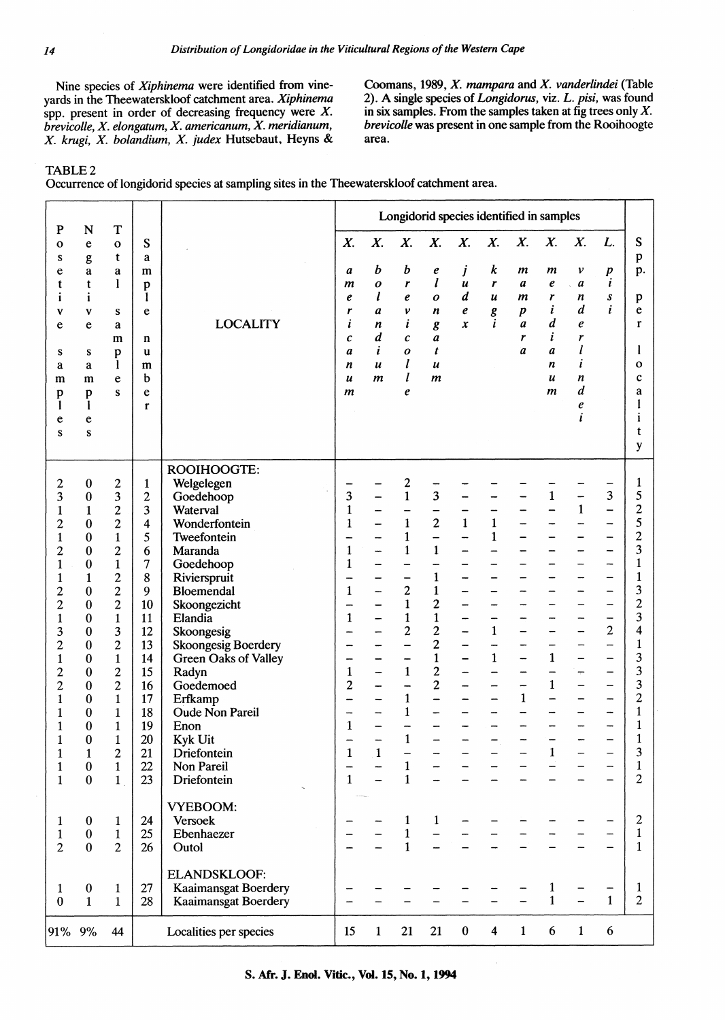Nine species of *Xiphinema* were identified from vineyards in the Theewaterskloof catchment area. *Xiphinema*  spp. present in order of decreasing frequency were  $X$ . *brevicolle, X. elongatum, X. americanum, X. meridianum, X. krugi, X. bolandium, X. judex* Hutsebaut, Heyns & Coomans, 1989, *X. mampara* and *X. vanderlindei* (Table 2). A single species of *Longidorus,* viz. L. *pisi,* was found in six samples. From the samples taken at fig trees only  $X$ . *brevicolle* was present in one sample from the Rooihoogte area.

# TABLE2

Occurrence of longidorid species at sampling sites in the Theewaterskloof catchment area.

|                                                                                                                                                                                                                                                                                                                                            |                                                                                                                                                                                                              |                                                                                                                                                                                                                                                                                                                                           |                                                                                                                                                                |                                                                                                                                                                                                                                                                                                                                                                   | Longidorid species identified in samples                                                                         |                                                 |                                                                                                                                                                                                                                          |                                                                                                                                                                                                                                    |                                                           |                                                   |                                                      |                                                                     |                                                                           |                                                      |                                                                                                                                                                                                                                                                         |
|--------------------------------------------------------------------------------------------------------------------------------------------------------------------------------------------------------------------------------------------------------------------------------------------------------------------------------------------|--------------------------------------------------------------------------------------------------------------------------------------------------------------------------------------------------------------|-------------------------------------------------------------------------------------------------------------------------------------------------------------------------------------------------------------------------------------------------------------------------------------------------------------------------------------------|----------------------------------------------------------------------------------------------------------------------------------------------------------------|-------------------------------------------------------------------------------------------------------------------------------------------------------------------------------------------------------------------------------------------------------------------------------------------------------------------------------------------------------------------|------------------------------------------------------------------------------------------------------------------|-------------------------------------------------|------------------------------------------------------------------------------------------------------------------------------------------------------------------------------------------------------------------------------------------|------------------------------------------------------------------------------------------------------------------------------------------------------------------------------------------------------------------------------------|-----------------------------------------------------------|---------------------------------------------------|------------------------------------------------------|---------------------------------------------------------------------|---------------------------------------------------------------------------|------------------------------------------------------|-------------------------------------------------------------------------------------------------------------------------------------------------------------------------------------------------------------------------------------------------------------------------|
| ${\bf P}$<br>o<br>S<br>e<br>t<br>ī<br>$\mathbf v$<br>e<br>S<br>a<br>m<br>p<br>1<br>e<br>S                                                                                                                                                                                                                                                  | N<br>e<br>g<br>a<br>t<br>1<br>V<br>e<br>S<br>a<br>m<br>p<br>1<br>e<br>${\bf S}$                                                                                                                              | T<br>$\mathbf{o}$<br>t<br>a<br>1<br>S<br>a<br>m<br>p<br>1<br>e<br>S                                                                                                                                                                                                                                                                       | S<br>a<br>m<br>p<br>-1<br>e<br>n<br>u<br>m<br>b<br>e<br>$\mathbf{r}$                                                                                           | <b>LOCALITY</b>                                                                                                                                                                                                                                                                                                                                                   | X.<br>a<br>m<br>e<br>r<br>i<br>c<br>a<br>n<br>u<br>$\boldsymbol{m}$                                              | X.<br>b<br>o<br>I<br>a<br>n<br>d<br>i<br>u<br>m | X.<br>b<br>r<br>e<br>$\boldsymbol{\nu}$<br>i<br>c<br>0<br>l<br>l<br>e                                                                                                                                                                    | X.<br>e<br>$\boldsymbol{l}$<br>0<br>n<br>$\pmb{g}$<br>a<br>t<br>$\boldsymbol{u}$<br>$\boldsymbol{m}$                                                                                                                               | X.<br>j<br>$\boldsymbol{u}$<br>$\boldsymbol{d}$<br>e<br>x | X.<br>k<br>r<br>$\boldsymbol{u}$<br>g<br>i        | X.<br>m<br>a<br>m<br>$\boldsymbol{p}$<br>a<br>r<br>a | X.<br>m<br>e<br>r<br>i<br>d<br>i<br>a<br>n<br>$\boldsymbol{u}$<br>m | X.<br>v<br>$\boldsymbol{a}$<br>n<br>d<br>e<br>r<br>l<br>i<br>n<br>d<br>e  | L.<br>$\boldsymbol{p}$<br>$\boldsymbol{i}$<br>S<br>i | ${\bf S}$<br>p<br>p.<br>p<br>e<br>$\mathbf{r}$<br>1<br>o<br>$\mathbf c$<br>a<br>t<br>y                                                                                                                                                                                  |
| 2<br>3<br>$\mathbf{1}$<br>$\overline{\mathbf{c}}$<br>$\mathbf{1}$<br>$\overline{c}$<br>$\mathbf{1}$<br>1<br>$\overline{c}$<br>$\overline{c}$<br>$\mathbf{1}$<br>3<br>$\overline{\mathbf{c}}$<br>$\mathbf{1}$<br>$\overline{c}$<br>$\overline{c}$<br>1<br>1<br>$\mathbf{1}$<br>$\mathbf{1}$<br>$\mathbf{1}$<br>$\mathbf{1}$<br>$\mathbf{1}$ | $\boldsymbol{0}$<br>0<br>1<br>0<br>0<br>0<br>0<br>1<br>0<br>0<br>0<br>0<br>$\bf{0}$<br>0<br>0<br>0<br>0<br>0<br>$\boldsymbol{0}$<br>$\boldsymbol{0}$<br>$\mathbf{1}$<br>$\boldsymbol{0}$<br>$\boldsymbol{0}$ | 2<br>3<br>$\overline{c}$<br>$\overline{c}$<br>$\mathbf{1}$<br>$\overline{c}$<br>$\mathbf{1}$<br>$\overline{c}$<br>$\overline{c}$<br>$\overline{c}$<br>$\mathbf{1}$<br>3<br>$\overline{c}$<br>$\mathbf{1}$<br>$\overline{c}$<br>$\overline{c}$<br>1<br>1<br>$\mathbf{1}$<br>$\mathbf{1}$<br>$\overline{c}$<br>$\mathbf{1}$<br>$\mathbf{1}$ | $\mathbf{1}$<br>$\overline{\mathbf{c}}$<br>3<br>4<br>5<br>6<br>7<br>8<br>9<br>10<br>11<br>12<br>13<br>14<br>15<br>16<br>17<br>18<br>19<br>20<br>21<br>22<br>23 | ROOIHOOGTE:<br>Welgelegen<br>Goedehoop<br>Waterval<br>Wonderfontein<br>Tweefontein<br>Maranda<br>Goedehoop<br>Rivierspruit<br>Bloemendal<br>Skoongezicht<br>Elandia<br>Skoongesig<br><b>Skoongesig Boerdery</b><br>Green Oaks of Valley<br>Radyn<br>Goedemoed<br>Erfkamp<br><b>Oude Non Pareil</b><br>Enon<br>Kyk Uit<br>Driefontein<br>Non Pareil<br>Driefontein | 3<br>$\mathbf{1}$<br>1<br>1<br>1<br>1<br>1<br>1<br>$\overline{c}$<br>-<br>$\mathbf{1}$<br>$\mathbf{1}$<br>—<br>1 | $\mathbf{1}$                                    | 2<br>$\mathbf{1}$<br>$\mathbf{1}$<br>$\mathbf{1}$<br>$\mathbf{1}$<br>$\overline{c}$<br>$\mathbf{1}$<br>$\mathbf{1}$<br>$\overline{\mathbf{c}}$<br>-<br>$\mathbf{1}$<br>$\mathbf{1}$<br>1<br>$\mathbf{r}$<br>$\mathbf{1}$<br>$\mathbf{1}$ | 3<br>$\overline{c}$<br>$\overline{\phantom{0}}$<br>$\mathbf{1}$<br>$\mathbf{1}$<br>$\mathbf{1}$<br>$\overline{\mathbf{c}}$<br>$\mathbf{1}$<br>$\overline{c}$<br>$\overline{c}$<br>$\mathbf{1}$<br>$\overline{c}$<br>$\overline{c}$ | $\mathbf{1}$<br>$\overline{\phantom{0}}$<br>-<br>-<br>-   | $\mathbf{1}$<br>$\mathbf{1}$<br>1<br>$\mathbf{1}$ | $\mathbf{1}$                                         | $\mathbf{1}$<br>1<br>$\mathbf{1}$<br>$\mathbf{1}$                   | $\mathbf{1}$<br>$\overline{\phantom{0}}$<br>÷<br>$\overline{\phantom{0}}$ | 3<br>-<br>$\mathbf{2}$<br>-<br>-                     | 1<br>5<br>$\overline{c}$<br>5<br>$\overline{c}$<br>3<br>$\mathbf{1}$<br>1<br>3<br>$\overline{c}$<br>3<br>$\overline{\mathbf{4}}$<br>$\mathbf{1}$<br>3<br>3<br>3<br>$\overline{c}$<br>1<br>$\mathbf{1}$<br>$\mathbf{r}$<br>$\mathbf 3$<br>$\mathbf{1}$<br>$\overline{c}$ |
| 1<br>$\mathbf 1$<br>$\overline{2}$                                                                                                                                                                                                                                                                                                         | $\boldsymbol{0}$<br>$\pmb{0}$<br>$\bf{0}$                                                                                                                                                                    | 1<br>$\mathbf{1}$<br>$\overline{2}$                                                                                                                                                                                                                                                                                                       | 24<br>25<br>26                                                                                                                                                 | <b>VYEBOOM:</b><br>Versoek<br>Ebenhaezer<br>Outol                                                                                                                                                                                                                                                                                                                 |                                                                                                                  |                                                 | $\mathbf{1}$<br>$\mathbf{1}$<br>$\mathbf{1}$                                                                                                                                                                                             | $\mathbf{1}$                                                                                                                                                                                                                       |                                                           |                                                   |                                                      |                                                                     |                                                                           |                                                      | $\mathbf{2}$<br>$\mathbf{1}$<br>$\mathbf{1}$                                                                                                                                                                                                                            |
| $\mathbf{1}$<br>$\bf{0}$                                                                                                                                                                                                                                                                                                                   | $\boldsymbol{0}$<br>$\mathbf{1}$                                                                                                                                                                             | $\mathbf{1}$<br>$\mathbf{1}$                                                                                                                                                                                                                                                                                                              | 27<br>28                                                                                                                                                       | <b>ELANDSKLOOF:</b><br><b>Kaaimansgat Boerdery</b><br><b>Kaaimansgat Boerdery</b>                                                                                                                                                                                                                                                                                 |                                                                                                                  |                                                 |                                                                                                                                                                                                                                          |                                                                                                                                                                                                                                    |                                                           |                                                   |                                                      | $\mathbf{1}$<br>$\mathbf{1}$                                        |                                                                           | $\mathbf{1}$                                         | $\mathbf{1}$<br>$\overline{c}$                                                                                                                                                                                                                                          |
| 91%                                                                                                                                                                                                                                                                                                                                        | 9%                                                                                                                                                                                                           | 44                                                                                                                                                                                                                                                                                                                                        |                                                                                                                                                                | Localities per species                                                                                                                                                                                                                                                                                                                                            | 15                                                                                                               | $\mathbf{1}$                                    | 21                                                                                                                                                                                                                                       | 21                                                                                                                                                                                                                                 | $\bf{0}$                                                  | $\overline{\mathbf{4}}$                           | $\mathbf{1}$                                         | 6                                                                   | $\mathbf{1}$                                                              | 6                                                    |                                                                                                                                                                                                                                                                         |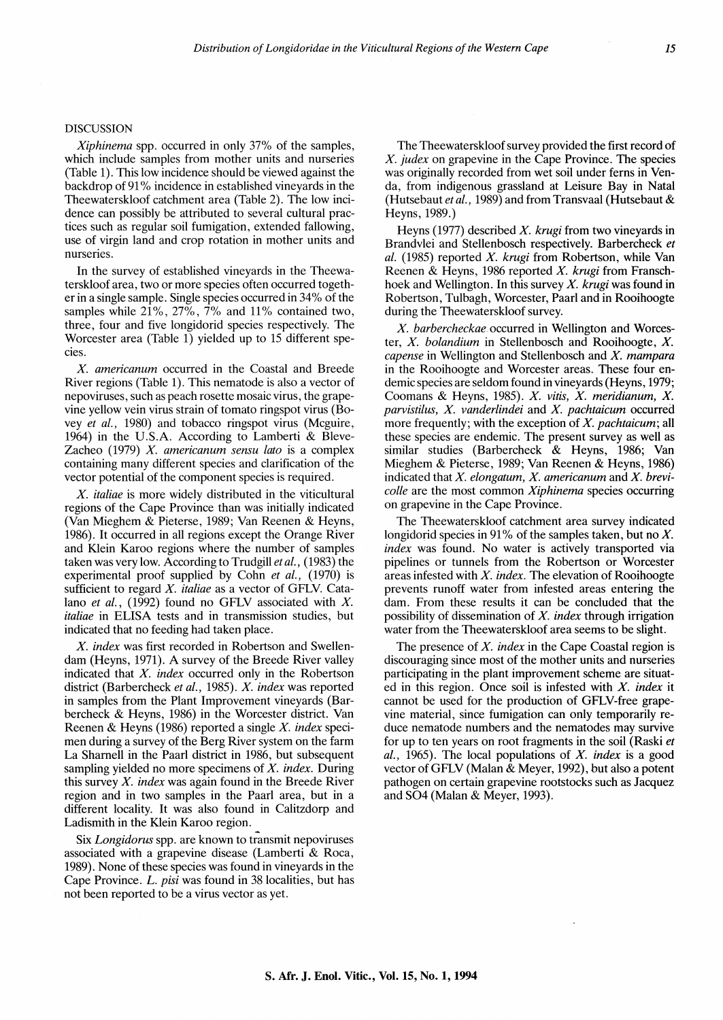### DISCUSSION

*Xiphinema* spp. occurred in only 37% of the samples, which include samples from mother units and nurseries (Table 1). This low incidence should be viewed against the backdrop of 91% incidence in established vineyards in the Theewaterskloof catchment area (Table 2). The low incidence can possibly be attributed to several cultural practices such as regular soil fumigation, extended fallowing, use of virgin land and crop rotation in mother units and nurseries.

In the survey of established vineyards in the Theewaterskloof area, two or more species often occurred together in a single sample. Single species occurred in 34% of the samples while  $21\%$ ,  $27\%$ ,  $7\%$  and  $11\%$  contained two, three, four and five longidorid species respectively. The Worcester area (Table 1) yielded up to 15 different species.

*X. americanum* occurred in the Coastal and Breede River regions (Table 1). This nematode is also a vector of nepoviruses, such as peach rosette mosaic virus, the grapevine yellow vein virus strain of tomato ringspot virus (Bovey *et al.,* 1980) and tobacco ringspot virus (Mcguire, 1964) in the U.S.A. According to Lamberti & Bleve-Zacheo (1979) *X. americanum sensu lata* is a complex containing many different species and clarification of the vector potential of the component species is required.

*X. italiae* is more widely distributed in the viticultural regions of the Cape Province than was initially indicated (Van Mieghem & Pieterse, 1989; Van Reenen & Heyns, 1986). It occurred in all regions except the Orange River and Klein Karoo regions where the number of samples taken was very low. According to Trudgill *et al.,* ( 1983) the experimental proof supplied by Cohn *et al.,* (1970) is sufficient to regard *X. italiae* as a vector of GFLV. Catalano *et al.*, (1992) found no GFLV associated with *X*. *italiae* in ELISA tests and in transmission studies, but indicated that no feeding had taken place.

*X. index* was first recorded in Robertson and Swellendam (Heyns, 1971). A survey of the Breede River valley indicated that *X. index* occurred only in the Robertson district (Barbercheck *et al.,* 1985). *X. index* was reported in samples from the Plant Improvement vineyards (Barbercheck & Heyns, 1986) in the Worcester district. Van Reenen & Heyns (1986) reported a single *X. index* specimen during a survey of the Berg River system on the farm La Shamell in the Paarl district in 1986, but subsequent sampling yielded no more specimens of *X. index.* During this survey *X. index* was again found in the Breede River region and in two samples in the Paarl area, but in a different locality. It was also found in Calitzdorp and Ladismith in the Klein Karoo region.

Six *Longidorus* spp. are known to transmit nepoviruses associated with a grapevine disease (Lamberti & Roca, 1989). None of these species was found in vineyards in the Cape Province. *L. pisi* was found in 38 localities, but has not been reported to be a virus vector as yet.

The Theewaterskloof survey provided the first record of *X. judex* on grapevine in the Cape Province. The species was originally recorded from wet soil under ferns in Venda, from indigenous grassland at Leisure Bay in Natal (Hutsebaut *et al.,* 1989) and from Transvaal (Hutsebaut & Heyns, 1989.)

Heyns (1977) described *X. krugi* from two vineyards in Brandvlei and Stellenbosch respectively. Barbercheck *et al.* (1985) reported *X. krugi* from Robertson, while Van Reenen & Heyns, 1986 reported *X. krugi* from Franschhoek and Wellington. In this survey *X. krugi* was found in Robertson, Tulbagh, Worcester, Paarl and in Rooihoogte during the Theewaterskloof survey.

*X. barbercheckae* occurred in Wellington and Worcester, *X. bolandium* in Stellenbosch and Rooihoogte, *X. capense* in Wellington and Stellenbosch and *X. mampara*  in the Rooihoogte and Worcester areas. These four endemic species are seldom found in vineyards (Heyns, 1979; Coomans & Heyns, 1985). *X. vitis, X. meridianum, X. parvistilus, X. vanderlindei* and *X. pachtaicum* occurred more frequently; with the exception of *X. pachtaicum;* all these species are endemic. The present survey as well as similar studies (Barbercheck & Heyns, 1986; Van Mieghem & Pieterse, 1989; Van Reenen & Heyns, 1986) indicated that *X. elongatum, X. americanum* and *X. brevicolle* are the most common *Xiphinema* species occurring on grapevine in the Cape Province.

The Theewaterskloof catchment area survey indicated longidorid species in 91% of the samples taken, but no *X. index* was found. No water is actively transported via pipelines or tunnels from the Robertson or Worcester areas infested with *X. index.* The elevation of Rooihoogte prevents runoff water from infested areas entering the dam. From these results it can be concluded that the possibility of dissemination of *X. index* through irrigation water from the Theewaterskloof area seems to be slight.

The presence of *X. index* in the Cape Coastal region is discouraging since most of the mother units and nurseries participating in the plant improvement scheme are situated in this region. Once soil is infested with *X. index* it cannot be used for the production of GFLV-free grapevine material, since fumigation can only temporarily reduce nematode numbers and the nematodes may survive for up to ten years on root fragments in the soil (Raski *et al.,* 1965). The local populations of *X. index* is a good vector of GFLV (Malan & Meyer, 1992), but also a potent pathogen on certain grapevine rootstocks such as Jacquez and S04 (Malan & Meyer, 1993).